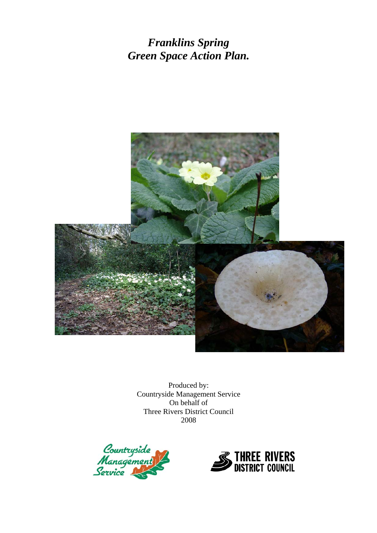*Franklins Spring Green Space Action Plan.* 



Produced by: Countryside Management Service On behalf of Three Rivers District Council 2008



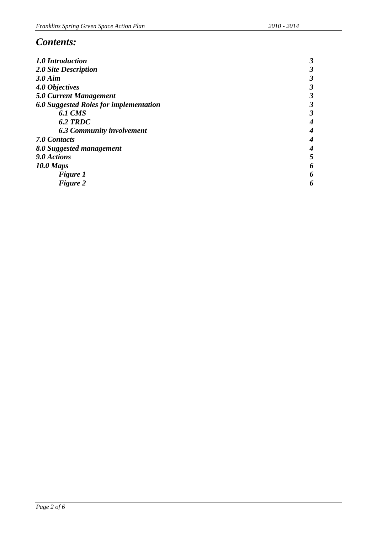# *Contents:*

| 1.0 Introduction                       | 3 |
|----------------------------------------|---|
| 2.0 Site Description                   |   |
| $3.0$ Aim                              |   |
| 4.0 Objectives                         |   |
| <b>5.0 Current Management</b>          | 3 |
| 6.0 Suggested Roles for implementation |   |
| <b>6.1 CMS</b>                         | 3 |
| 6.2 TRDC                               |   |
| <b>6.3 Community involvement</b>       |   |
| 7.0 Contacts                           |   |
| 8.0 Suggested management               |   |
| 9.0 Actions                            | 5 |
| $10.0$ Maps                            | 6 |
| <b>Figure 1</b>                        | 6 |
| Figure 2                               | 6 |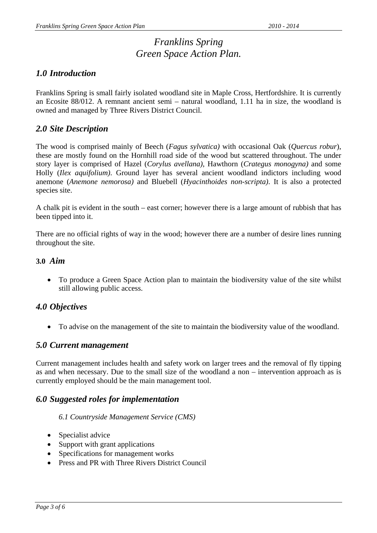# *Franklins Spring Green Space Action Plan.*

## *1.0 Introduction*

Franklins Spring is small fairly isolated woodland site in Maple Cross, Hertfordshire. It is currently an Ecosite 88/012. A remnant ancient semi – natural woodland, 1.11 ha in size, the woodland is owned and managed by Three Rivers District Council.

## *2.0 Site Description*

The wood is comprised mainly of Beech (*Fagus sylvatica)* with occasional Oak (*Quercus robur*), these are mostly found on the Hornhill road side of the wood but scattered throughout. The under story layer is comprised of Hazel (*Corylus avellana)*, Hawthorn (*Crategus monogyna)* and some Holly (*Ilex aquifolium)*. Ground layer has several ancient woodland indictors including wood anemone (*Anemone nemorosa)* and Bluebell (*Hyacinthoides non-scripta)*. It is also a protected species site.

A chalk pit is evident in the south – east corner; however there is a large amount of rubbish that has been tipped into it.

There are no official rights of way in the wood; however there are a number of desire lines running throughout the site.

### **3.0** *Aim*

• To produce a Green Space Action plan to maintain the biodiversity value of the site whilst still allowing public access.

# *4.0 Objectives*

• To advise on the management of the site to maintain the biodiversity value of the woodland.

### *5.0 Current management*

Current management includes health and safety work on larger trees and the removal of fly tipping as and when necessary. Due to the small size of the woodland a non – intervention approach as is currently employed should be the main management tool.

## *6.0 Suggested roles for implementation*

#### *6.1 Countryside Management Service (CMS)*

- Specialist advice
- Support with grant applications
- Specifications for management works
- Press and PR with Three Rivers District Council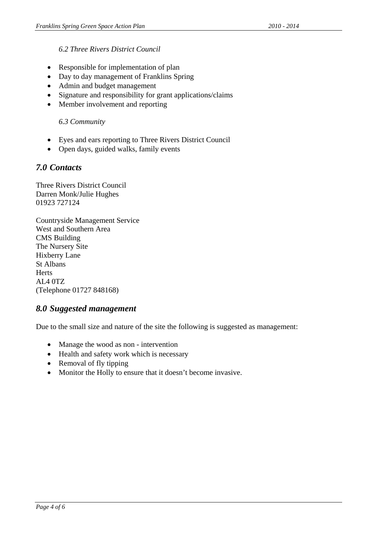### *6.2 Three Rivers District Council*

- Responsible for implementation of plan
- Day to day management of Franklins Spring
- Admin and budget management
- Signature and responsibility for grant applications/claims
- Member involvement and reporting

#### *6.3 Community*

- Eyes and ears reporting to Three Rivers District Council
- Open days, guided walks, family events

## *7.0 Contacts*

Three Rivers District Council Darren Monk/Julie Hughes 01923 727124

Countryside Management Service West and Southern Area CMS Building The Nursery Site Hixberry Lane St Albans **Herts** AL4 0TZ (Telephone 01727 848168)

### *8.0 Suggested management*

Due to the small size and nature of the site the following is suggested as management:

- Manage the wood as non intervention
- Health and safety work which is necessary
- Removal of fly tipping
- Monitor the Holly to ensure that it doesn't become invasive.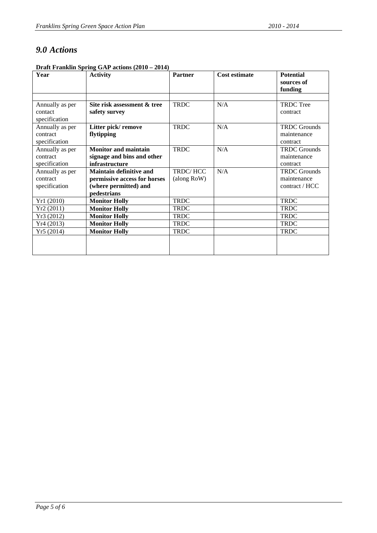# *9.0 Actions*

| <b>Draft Franklin Spring GAP actions (2010 – 2014)</b> |  |  |
|--------------------------------------------------------|--|--|
|                                                        |  |  |

| Year            | <b>Activity</b>                | <b>Partner</b> | <b>Cost estimate</b> | <b>Potential</b>    |
|-----------------|--------------------------------|----------------|----------------------|---------------------|
|                 |                                |                |                      | sources of          |
|                 |                                |                |                      | funding             |
|                 |                                |                |                      |                     |
| Annually as per | Site risk assessment & tree    | <b>TRDC</b>    | N/A                  | <b>TRDC</b> Tree    |
| contact         | safety survey                  |                |                      | contract            |
| specification   |                                |                |                      |                     |
| Annually as per | Litter pick/remove             | <b>TRDC</b>    | N/A                  | <b>TRDC</b> Grounds |
| contract        | flytipping                     |                |                      | maintenance         |
| specification   |                                |                |                      | contract            |
| Annually as per | <b>Monitor and maintain</b>    | <b>TRDC</b>    | N/A                  | <b>TRDC</b> Grounds |
| contract        | signage and bins and other     |                |                      | maintenance         |
| specification   | infrastructure                 |                |                      | contract            |
| Annually as per | <b>Maintain definitive and</b> | TRDC/HCC       | N/A                  | <b>TRDC</b> Grounds |
| contract        | permissive access for horses   | (along RoW)    |                      | maintenance         |
| specification   | (where permitted) and          |                |                      | contract / HCC      |
|                 | pedestrians                    |                |                      |                     |
| Yr1 (2010)      | <b>Monitor Holly</b>           | <b>TRDC</b>    |                      | <b>TRDC</b>         |
| Yr2(2011)       | <b>Monitor Holly</b>           | <b>TRDC</b>    |                      | <b>TRDC</b>         |
| Yr3 (2012)      | <b>Monitor Holly</b>           | <b>TRDC</b>    |                      | <b>TRDC</b>         |
| Yr4(2013)       | <b>Monitor Holly</b>           | <b>TRDC</b>    |                      | <b>TRDC</b>         |
| Yr5(2014)       | <b>Monitor Holly</b>           | <b>TRDC</b>    |                      | <b>TRDC</b>         |
|                 |                                |                |                      |                     |
|                 |                                |                |                      |                     |
|                 |                                |                |                      |                     |